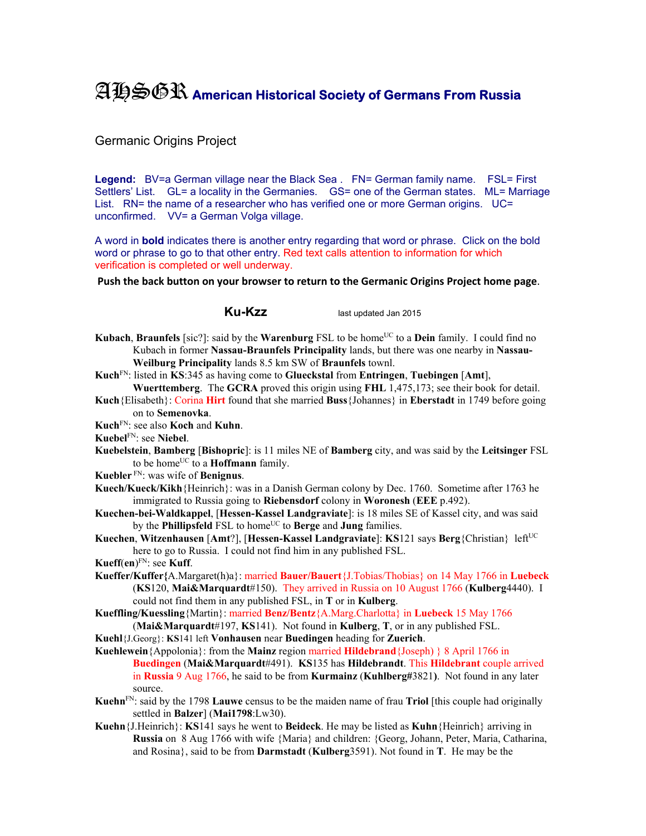## AHSGR **American Historical Society of Germans From Russia**

## Germanic Origins Project

Legend: BV=a German village near the Black Sea . FN= German family name. FSL= First Settlers' List. GL= a locality in the Germanies. GS= one of the German states. ML= Marriage List. RN= the name of a researcher who has verified one or more German origins. UC= unconfirmed. VV= a German Volga village.

A word in **bold** indicates there is another entry regarding that word or phrase. Click on the bold word or phrase to go to that other entry. Red text calls attention to information for which verification is completed or well underway.

**Push the back button on your browser to return to the Germanic Origins Project home page**.

**Ku-Kzz** last updated Jan 2015

- **Kubach, Braunfels** [sic?]: said by the **Warenburg** FSL to be home<sup>UC</sup> to a **Dein** family. I could find no Kubach in former **Nassau-Braunfels Principality** lands, but there was one nearby in **Nassau-Weilburg Principality** lands 8.5 km SW of **Braunfels** townl.
- **Kuch**FN: listed in **KS**:345 as having come to **Glueckstal** from **Entringen**, **Tuebingen** [**Amt**],
- **Wuerttemberg**. The **GCRA** proved this origin using **FHL** 1,475,173; see their book for detail. **Kuch**{Elisabeth}: Corina **Hirt** found that she married **Buss**{Johannes} in **Eberstadt** in 1749 before going on to **Semenovka**.
- **Kuch**FN: see also **Koch** and **Kuhn**.
- **Kuebel**FN: see **Niebel**.
- **Kuebelstein**, **Bamberg** [**Bishopric**]: is 11 miles NE of **Bamberg** city, and was said by the **Leitsinger** FSL to be home<sup>UC</sup> to a **Hoffmann** family.
- **Kuebler** FN: was wife of **Benignus**.
- **Kuech/Kueck/Kikh**{Heinrich}: was in a Danish German colony by Dec. 1760. Sometime after 1763 he immigrated to Russia going to **Riebensdorf** colony in **Woronesh** (**EEE** p.492).
- **Kuechen-bei-Waldkappel**, [**Hessen-Kassel Landgraviate**]: is 18 miles SE of Kassel city, and was said by the **Phillipsfeld** FSL to home<sup>UC</sup> to **Berge** and **Jung** families.
- **Kuechen, Witzenhausen [Amt?], [Hessen-Kassel Landgraviate]: KS121 says Berg {Christian} left<sup>UC</sup>** here to go to Russia. I could not find him in any published FSL.

**Kueff**(**en**) FN: see **Kuff**.

- **Kueffer/Kuffer{**A.Margaret(h)a}: married **Bauer/Bauert**{J.Tobias/Thobias} on 14 May 1766 in **Luebeck**  (**KS**120, **Mai&Marquardt**#150). They arrived in Russia on 10 August 1766 (**Kulberg**4440). I could not find them in any published FSL, in **T** or in **Kulberg**.
- **Kueffling/Kuessling**{Martin}: married **Benz/Bentz**{A.Marg.Charlotta} in **Luebeck** 15 May 1766 (**Mai&Marquardt**#197, **KS**141). Not found in **Kulberg**, **T**, or in any published FSL.
- **Kuehl**{J.Georg}: **KS**141 left **Vonhausen** near **Buedingen** heading for **Zuerich**.
- **Kuehlewein**{Appolonia}: from the **Mainz** region married **Hildebrand**{Joseph) } 8 April 1766 in **Buedingen** (**Mai&Marquardt**#491). **KS**135 has **Hildebrandt**. This **Hildebrant** couple arrived in **Russia** 9 Aug 1766, he said to be from **Kurmainz** (**Kuhlberg#**3821**)**. Not found in any later source.
- **Kuehn**FN: said by the 1798 **Lauwe** census to be the maiden name of frau **Triol** [this couple had originally settled in **Balzer**] (**Mai1798**:Lw30).
- **Kuehn**{J.Heinrich}: **KS**141 says he went to **Beideck**. He may be listed as **Kuhn**{Heinrich} arriving in **Russia** on 8 Aug 1766 with wife {Maria} and children: {Georg, Johann, Peter, Maria, Catharina, and Rosina}, said to be from **Darmstadt** (**Kulberg**3591). Not found in **T**. He may be the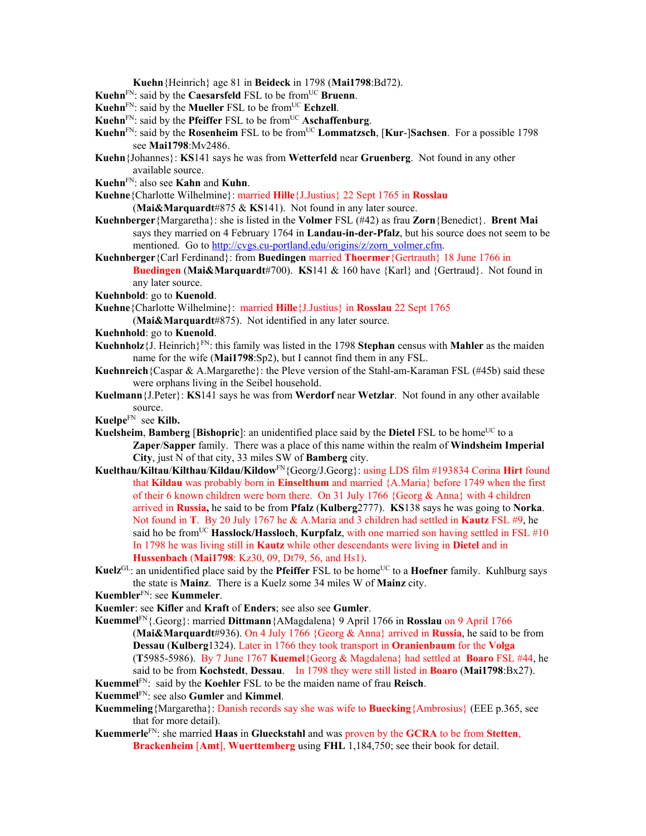**Kuehn**{Heinrich} age 81 in **Beideck** in 1798 (**Mai1798**:Bd72).

- **Kuehn**FN: said by the **Caesarsfeld** FSL to be fromUC **Bruenn**.
- **Kuehn**<sup>FN</sup>: said by the **Mueller** FSL to be from<sup>UC</sup> **Echzell**.
- **Kuehn**<sup>FN</sup>: said by the **Pfeiffer** FSL to be from<sup>UC</sup> **Aschaffenburg**.
- **Kuehn**FN: said by the **Rosenheim** FSL to be fromUC **Lommatzsch**, [**Kur**-]**Sachsen**. For a possible 1798 see **Mai1798**:Mv2486.
- **Kuehn**{Johannes}: **KS**141 says he was from **Wetterfeld** near **Gruenberg**. Not found in any other available source.
- **Kuehn**FN: also see **Kahn** and **Kuhn**.
- **Kuehne**{Charlotte Wilhelmine}: married **Hille**{J.Justius} 22 Sept 1765 in **Rosslau** 
	- (**Mai&Marquardt**#875 & **KS**141). Not found in any later source.
- **Kuehnberger**{Margaretha}: she is listed in the **Volmer** FSL (#42) as frau **Zorn**{Benedict}. **Brent Mai** says they married on 4 February 1764 in **Landau-in-der-Pfalz**, but his source does not seem to be mentioned. Go to http://cvgs.cu-portland.edu/origins/z/zorn\_volmer.cfm.
- **Kuehnberger**{Carl Ferdinand}: from **Buedingen** married **Thoermer**{Gertrauth} 18 June 1766 in **Buedingen** (**Mai&Marquardt**#700). **KS**141 & 160 have {Karl} and {Gertraud}. Not found in any later source.
- **Kuehnbold**: go to **Kuenold**.
- **Kuehne**{Charlotte Wilhelmine}: married **Hille**{J.Justius} in **Rosslau** 22 Sept 1765
	- (**Mai&Marquardt**#875). Not identified in any later source.
- **Kuehnhold**: go to **Kuenold**.
- **Kuehnholz**{J. Heinrich}FN: this family was listed in the 1798 **Stephan** census with **Mahler** as the maiden name for the wife (**Mai1798**:Sp2), but I cannot find them in any FSL.
- **Kuehnreich**{Caspar & A.Margarethe}: the Pleve version of the Stahl-am-Karaman FSL (#45b) said these were orphans living in the Seibel household.
- **Kuelmann**{J.Peter}: **KS**141 says he was from **Werdorf** near **Wetzlar**. Not found in any other available source.
- **Kuelpe**FNsee **Kilb.**
- **Kuelsheim, Bamberg [Bishopric**]: an unidentified place said by the **Dietel** FSL to be home<sup>UC</sup> to a **Zaper**/**Sapper** family. There was a place of this name within the realm of **Windsheim Imperial City**, just N of that city, 33 miles SW of **Bamberg** city.
- **Kuelthau/Kiltau**/**Kilthau**/**Kildau/Kildow**FN{Georg/J.Georg}: using LDS film #193834 Corina **Hirt** found that **Kildau** was probably born in **Einselthum** and married {A.Maria} before 1749 when the first of their 6 known children were born there. On 31 July 1766 {Georg & Anna} with 4 children arrived in **Russia,** he said to be from **Pfalz** (**Kulberg**2777). **KS**138 says he was going to **Norka**. Not found in **T**. By 20 July 1767 he & A.Maria and 3 children had settled in **Kautz** FSL #9, he said ho be from<sup>UC</sup> **Hasslock/Hassloch**, **Kurpfalz**, with one married son having settled in FSL  $#10$ In 1798 he was living still in **Kautz** while other descendants were living in **Dietel** and in **Hussenbach** (**Mai1798**: Kz30, 09, Dt79, 56, and Hs1).
- **Kuelz**<sup>GL</sup>: an unidentified place said by the **Pfeiffer** FSL to be home<sup>UC</sup> to a **Hoefner** family. Kuhlburg says the state is **Mainz**. There is a Kuelz some 34 miles W of **Mainz** city.
- **Kuembler**FN: see **Kummeler**.
- **Kuemler**: see **Kifler** and **Kraft** of **Enders**; see also see **Gumler**.
- **Kuemmel**FN{.Georg}: married **Dittmann**{AMagdalena} 9 April 1766 in **Rosslau** on 9 April 1766 (**Mai&Marquardt**#936). On 4 July 1766 {Georg & Anna} arrived in **Russia**, he said to be from **Dessau** (**Kulberg**1324). Later in 1766 they took transport in **Oranienbaum** for the **Volga** (**T**5985-5986). By 7 June 1767 **Kuemel**{Georg & Magdalena} had settled at **Boaro** FSL #44, he said to be from **Kochstedt**, **Dessau**. In 1798 they were still listed in **Boaro** (**Mai1798**:Bx27).
- **Kuemmel**FN: said by the **Koehler** FSL to be the maiden name of frau **Reisch**.
- **Kuemmel**FN: see also **Gumler** and **Kimmel**.
- **Kuemmeling**{Margaretha}: Danish records say she was wife to **Buecking**{Ambrosius} (EEE p.365, see that for more detail).
- **Kuemmerle**FN: she married **Haas** in **Glueckstahl** and was proven by the **GCRA** to be from **Stetten**, **Brackenheim** [**Amt**], **Wuerttemberg** using **FHL** 1,184,750; see their book for detail.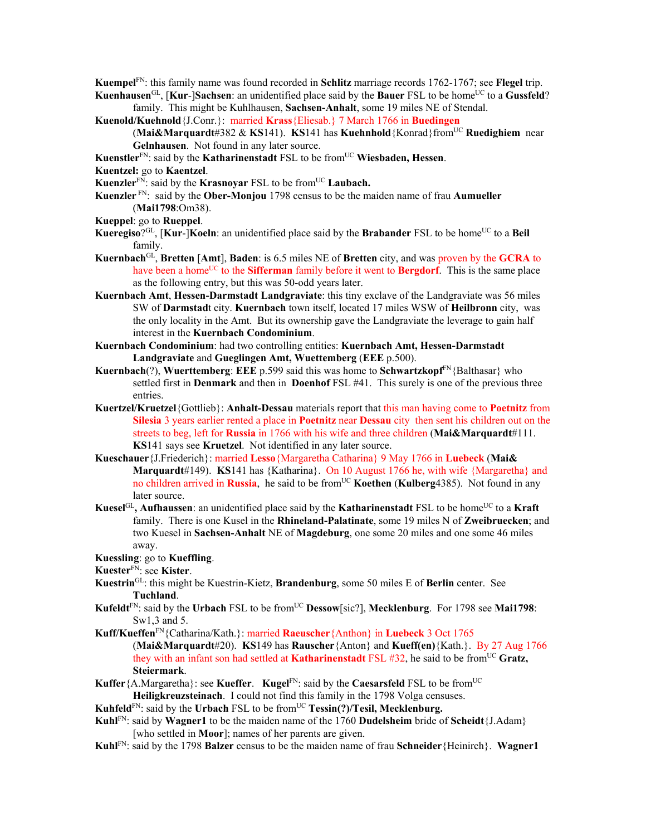- **Kuempel**FN: this family name was found recorded in **Schlitz** marriage records 1762-1767; see **Flegel** trip.
- **Kuenhausen**<sup>GL</sup>, [**Kur-**]**Sachsen**: an unidentified place said by the **Bauer** FSL to be home<sup>UC</sup> to a **Gussfeld**? family. This might be Kuhlhausen, **Sachsen-Anhalt**, some 19 miles NE of Stendal.
- **Kuenold/Kuehnold**{J.Conr.}: married **Krass**{Eliesab.} 7 March 1766 in **Buedingen** 
	- (**Mai&Marquardt**#382 & **KS**141). **KS**141 has **Kuehnhold**{Konrad}fromUC **Ruedighiem** near **Gelnhausen**. Not found in any later source.
- **Kuenstler**<sup>FN</sup>: said by the **Katharinenstadt** FSL to be from<sup>UC</sup> **Wiesbaden, Hessen**.
- **Kuentzel:** go to **Kaentzel**.
- **Kuenzler**<sup>FN</sup>: said by the **Krasnoyar** FSL to be from<sup>UC</sup> Laubach.
- **Kuenzler** FN: said by the **Ober-Monjou** 1798 census to be the maiden name of frau **Aumueller** (**Mai1798**:Om38).
- **Kueppel**: go to **Rueppel**.
- **Kueregiso**?<sup>GL</sup>, [**Kur-**]**Koeln**: an unidentified place said by the **Brabander** FSL to be home<sup>UC</sup> to a **Beil** family.
- **Kuernbach**GL, **Bretten** [**Amt**], **Baden**: is 6.5 miles NE of **Bretten** city, and was proven by the **GCRA** to have been a home<sup>UC</sup> to the **Sifferman** family before it went to **Bergdorf**. This is the same place as the following entry, but this was 50-odd years later.
- **Kuernbach Amt**, **Hessen-Darmstadt Landgraviate**: this tiny exclave of the Landgraviate was 56 miles SW of **Darmstad**t city. **Kuernbach** town itself, located 17 miles WSW of **Heilbronn** city, was the only locality in the Amt. But its ownership gave the Landgraviate the leverage to gain half interest in the **Kuernbach Condominium**.
- **Kuernbach Condominium**: had two controlling entities: **Kuernbach Amt, Hessen-Darmstadt Landgraviate** and **Gueglingen Amt, Wuettemberg** (**EEE** p.500).
- **Kuernbach**(?), **Wuerttemberg**: **EEE** p.599 said this was home to **Schwartzkopf**FN{Balthasar} who settled first in **Denmark** and then in **Doenhof** FSL #41. This surely is one of the previous three entries.
- **Kuertzel/Kruetzel**{Gottlieb}: **Anhalt-Dessau** materials report that this man having come to **Poetnitz** from **Silesia** 3 years earlier rented a place in **Poetnitz** near **Dessau** citythen sent his children out on the streets to beg, left for **Russia** in 1766 with his wife and three children (**Mai&Marquardt**#111. **KS**141 says see **Kruetzel**. Not identified in any later source.
- **Kueschauer**{J.Friederich}: married **Lesso**{Margaretha Catharina} 9 May 1766 in **Luebeck** (**Mai& Marquardt**#149). **KS**141 has {Katharina}. On 10 August 1766 he, with wife {Margaretha} and no children arrived in **Russia**, he said to be from<sup>UC</sup> **Koethen (Kulberg**4385). Not found in any later source.
- **Kuesel**<sup>GL</sup>, **Aufhaussen**: an unidentified place said by the **Katharinenstadt** FSL to be home<sup>UC</sup> to a **Kraft** family. There is one Kusel in the **Rhineland-Palatinate**, some 19 miles N of **Zweibruecken**; and two Kuesel in **Sachsen-Anhalt** NE of **Magdeburg**, one some 20 miles and one some 46 miles away.
- **Kuessling**: go to **Kueffling**.
- **Kuester**FN: see **Kister**.
- **Kuestrin**GL: this might be Kuestrin-Kietz, **Brandenburg**, some 50 miles E of **Berlin** center. See **Tuchland**.
- **Kufeldt**FN: said by the **Urbach** FSL to be fromUC **Dessow**[sic?], **Mecklenburg**. For 1798 see **Mai1798**: Sw1,3 and 5.
- **Kuff/Kueffen**FN{Catharina/Kath.}: married **Raeuscher**{Anthon} in **Luebeck** 3 Oct 1765 (**Mai&Marquardt**#20). **KS**149 has **Rauscher**{Anton} and **Kueff(en)**{Kath.}. By 27 Aug 1766 they with an infant son had settled at **Katharinenstadt** FSL #32, he said to be fromUC **Gratz, Steiermark**.
- **Kuffer**{A.Margaretha}: see **Kueffer. Kugel**<sup>FN</sup>: said by the **Caesarsfeld** FSL to be from<sup>UC</sup> **Heiligkreuzsteinach**. I could not find this family in the 1798 Volga censuses.

Kuhfeld<sup>FN</sup>: said by the Urbach FSL to be from<sup>UC</sup> Tessin(?)/Tesil, Mecklenburg.

- **Kuhl**FN: said by **Wagner1** to be the maiden name of the 1760 **Dudelsheim** bride of **Scheidt**{J.Adam} [who settled in **Moor**]; names of her parents are given.
- **Kuhl**FN: said by the 1798 **Balzer** census to be the maiden name of frau **Schneider**{Heinirch}. **Wagner1**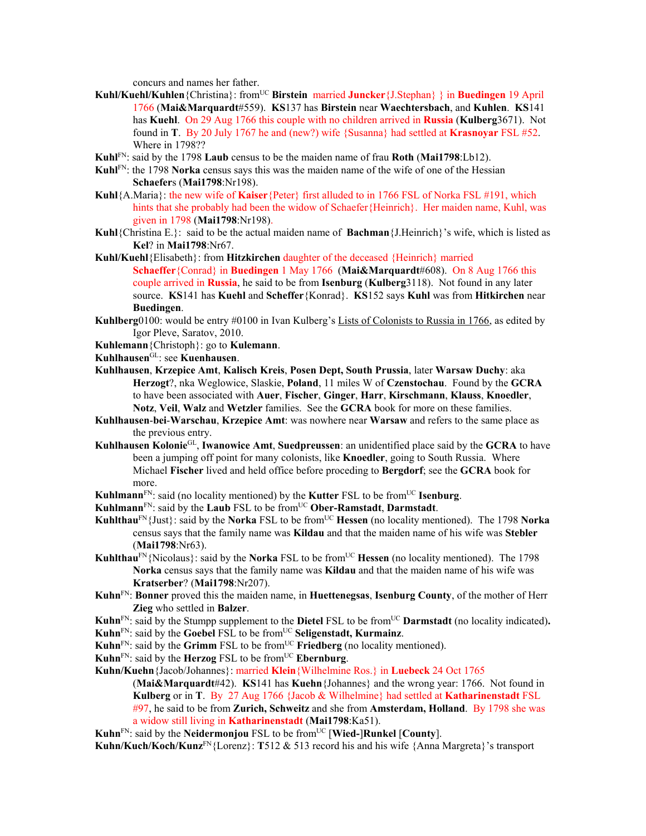concurs and names her father.

- **Kuhl/Kuehl/Kuhlen**{Christina}: fromUC **Birstein** married **Juncker**{J.Stephan} } in **Buedingen** 19 April 1766 (**Mai&Marquardt**#559). **KS**137 has **Birstein** near **Waechtersbach**, and **Kuhlen**. **KS**141 has **Kuehl**. On 29 Aug 1766 this couple with no children arrived in **Russia** (**Kulberg**3671). Not found in **T**. By 20 July 1767 he and (new?) wife {Susanna} had settled at **Krasnoyar** FSL #52. Where in 1798??
- **Kuhl**FN: said by the 1798 **Laub** census to be the maiden name of frau **Roth** (**Mai1798**:Lb12).
- **Kuhl**FN: the 1798 **Norka** census says this was the maiden name of the wife of one of the Hessian **Schaefer**s (**Mai1798**:Nr198).
- **Kuhl**{A.Maria}: the new wife of **Kaiser**{Peter} first alluded to in 1766 FSL of Norka FSL #191, which hints that she probably had been the widow of Schaefer{Heinrich}. Her maiden name, Kuhl, was given in 1798 (**Mai1798**:Nr198).
- **Kuhl**{Christina E.}: said to be the actual maiden name of **Bachman**{J.Heinrich}'s wife, which is listed as **Kel**? in **Mai1798**:Nr67.
- **Kuhl/Kuehl**{Elisabeth}: from **Hitzkirchen** daughter of the deceased {Heinrich} married **Schaeffer**{Conrad} in **Buedingen** 1 May 1766 (**Mai&Marquardt**#608). On 8 Aug 1766 this couple arrived in **Russia**, he said to be from **Isenburg** (**Kulberg**3118). Not found in any later source. **KS**141 has **Kuehl** and **Scheffer**{Konrad}. **KS**152 says **Kuhl** was from **Hitkirchen** near **Buedingen**.
- **Kuhlberg**0100: would be entry #0100 in Ivan Kulberg's Lists of Colonists to Russia in 1766, as edited by Igor Pleve, Saratov, 2010.
- **Kuhlemann**{Christoph}: go to **Kulemann**.
- **Kuhlhausen**GL: see **Kuenhausen**.
- **Kuhlhausen**, **Krzepice Amt**, **Kalisch Kreis**, **Posen Dept, South Prussia**, later **Warsaw Duchy**: aka **Herzogt**?, nka Weglowice, Slaskie, **Poland**, 11 miles W of **Czenstochau**. Found by the **GCRA** to have been associated with **Auer**, **Fischer**, **Ginger**, **Harr**, **Kirschmann**, **Klauss**, **Knoedler**, **Notz**, **Veil**, **Walz** and **Wetzler** families. See the **GCRA** book for more on these families.
- **Kuhlhausen**-**bei**-**Warschau**, **Krzepice Amt**: was nowhere near **Warsaw** and refers to the same place as the previous entry.
- **Kuhlhausen Kolonie**GL, **Iwanowice Amt**, **Suedpreussen**: an unidentified place said by the **GCRA** to have been a jumping off point for many colonists, like **Knoedler**, going to South Russia. Where Michael **Fischer** lived and held office before proceding to **Bergdorf**; see the **GCRA** book for more.
- **Kuhlmann**<sup>FN</sup>: said (no locality mentioned) by the **Kutter** FSL to be from<sup>UC</sup> **Isenburg**.
- **Kuhlmann**FN: said by the **Laub** FSL to be fromUC **Ober-Ramstadt**, **Darmstadt**.
- **Kuhlthau**<sup>FN</sup>{Just}: said by the **Norka** FSL to be from<sup>UC</sup> **Hessen** (no locality mentioned). The 1798 **Norka** census says that the family name was **Kildau** and that the maiden name of his wife was **Stebler** (**Mai1798**:Nr63).
- **Kuhlthau**<sup>FN</sup>{Nicolaus}: said by the **Norka** FSL to be from<sup>UC</sup> **Hessen** (no locality mentioned). The 1798 **Norka** census says that the family name was **Kildau** and that the maiden name of his wife was **Kratserber**? (**Mai1798**:Nr207).
- **Kuhn**FN: **Bonner** proved this the maiden name, in **Huettenegsas**, **Isenburg County**, of the mother of Herr **Zieg** who settled in **Balzer**.
- **Kuhn**<sup>FN</sup>: said by the Stumpp supplement to the **Dietel** FSL to be from<sup>UC</sup> **Darmstadt** (no locality indicated).

Kuhn<sup>FN</sup>: said by the Goebel FSL to be from<sup>UC</sup> Seligenstadt, Kurmainz.

- **Kuhn**<sup>FN</sup>: said by the **Grimm** FSL to be from<sup>UC</sup> **Friedberg** (no locality mentioned).
- **Kuhn**<sup>FN</sup>: said by the **Herzog** FSL to be from<sup>UC</sup> **Ebernburg**.
- **Kuhn/Kuehn**{Jacob/Johannes}: married **Klein**{Wilhelmine Ros.} in **Luebeck** 24 Oct 1765 (**Mai&Marquardt**#42). **KS**141 has **Kuehn**{Johannes} and the wrong year: 1766. Not found in **Kulberg** or in **T**. By 27 Aug 1766 {Jacob & Wilhelmine} had settled at **Katharinenstadt** FSL #97, he said to be from **Zurich, Schweitz** and she from **Amsterdam, Holland**. By 1798 she was a widow still living in **Katharinenstadt** (**Mai1798**:Ka51).
- **Kuhn**<sup>FN</sup>: said by the **Neidermonjou** FSL to be from<sup>UC</sup> [Wied-]Runkel [County].

**Kuhn/Kuch/Koch/Kunz**FN{Lorenz}: **T**512 & 513 record his and his wife {Anna Margreta}'s transport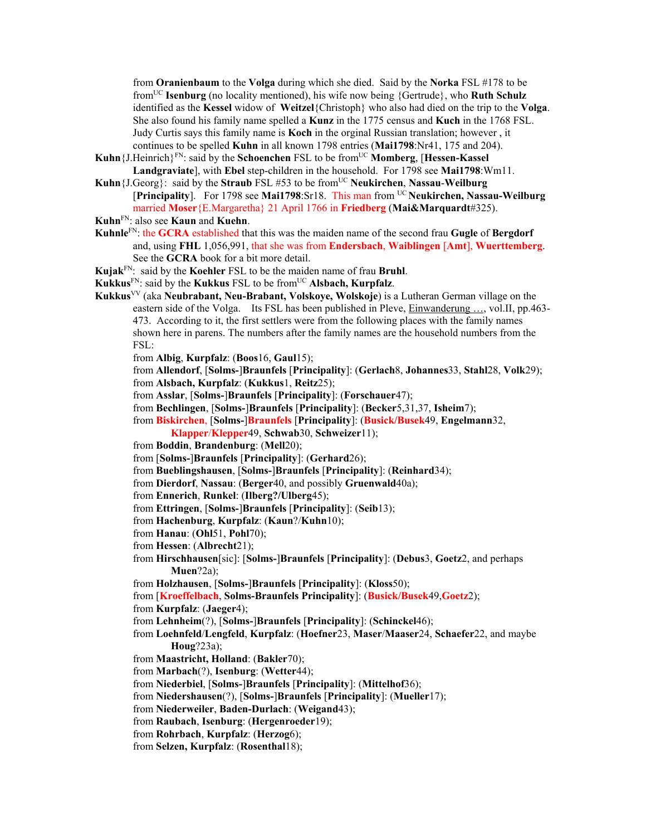from **Oranienbaum** to the **Volga** during which she died. Said by the **Norka** FSL #178 to be fromUC **Isenburg** (no locality mentioned), his wife now being {Gertrude}, who **Ruth Schulz**  identified as the **Kessel** widow of **Weitzel**{Christoph} who also had died on the trip to the **Volga**. She also found his family name spelled a **Kunz** in the 1775 census and **Kuch** in the 1768 FSL. Judy Curtis says this family name is **Koch** in the orginal Russian translation; however , it continues to be spelled **Kuhn** in all known 1798 entries (**Mai1798**:Nr41, 175 and 204).

- Kuhn {J.Heinrich}<sup>FN</sup>: said by the **Schoenchen** FSL to be from<sup>UC</sup> **Momberg**, [Hessen-Kassel] **Landgraviate**], with **Ebel** step-children in the household. For 1798 see **Mai1798**:Wm11.
- **Kuhn**{J.Georg}: said by the **Straub** FSL #53 to be fromUC **Neukirchen**, **Nassau**-**Weilburg** [**Principality**]. For 1798 see **Mai1798**:Sr18. This man from UC **Neukirchen, Nassau-Weilburg** married **Moser**{E.Margaretha} 21 April 1766 in **Friedberg** (**Mai&Marquardt**#325).
- **Kuhn**FN: also see **Kaun** and **Kuehn**.
- **Kuhnle**FN: the **GCRA** established that this was the maiden name of the second frau **Gugle** of **Bergdorf** and, using **FHL** 1,056,991, that she was from **Endersbach**, **Waiblingen** [**Amt**], **Wuerttemberg**. See the **GCRA** book for a bit more detail.
- **Kujak**FN: said by the **Koehler** FSL to be the maiden name of frau **Bruhl**.
- **Kukkus**FN: said by the **Kukkus** FSL to be fromUC **Alsbach, Kurpfalz**.
- **Kukkus**VV (aka **Neubrabant, Neu-Brabant, Volskoye, Wolskoje**) is a Lutheran German village on the eastern side of the Volga. Its FSL has been published in Pleve, Einwanderung ..., vol.II, pp.463-473. According to it, the first settlers were from the following places with the family names shown here in parens. The numbers after the family names are the household numbers from the FSL:
	- from **Albig**, **Kurpfalz**: (**Boos**16, **Gaul**15);
	- from **Allendorf**, [**Solms-**]**Braunfels** [**Principality**]: (**Gerlach**8, **Johannes**33, **Stahl**28, **Volk**29);
	- from **Alsbach, Kurpfalz**: (**Kukkus**1, **Reitz**25);
	- from **Asslar**, [**Solms-**]**Braunfels** [**Principality**]: (**Forschauer**47);
	- from **Bechlingen**, [**Solms-**]**Braunfels** [**Principality**]: (**Becker**5,31,37, **Isheim**7);
	- from **Biskirchen**, [**Solms-**]**Braunfels** [**Principality**]: (**Busick/Busek**49, **Engelmann**32,
	- **Klapper**/**Klepper**49, **Schwab**30, **Schweizer**11);
	- from **Boddin**, **Brandenburg**: (**Mell**20);
	- from [**Solms-**]**Braunfels** [**Principality**]: (**Gerhard**26);
	- from **Bueblingshausen**, [**Solms-**]**Braunfels** [**Principality**]: (**Reinhard**34);
	- from **Dierdorf**, **Nassau**: (**Berger**40, and possibly **Gruenwald**40a);
	- from **Ennerich**, **Runkel**: (**Ilberg?/Ulberg**45);
	- from **Ettringen**, [**Solms-**]**Braunfels** [**Principality**]: (**Seib**13);
	- from **Hachenburg**, **Kurpfalz**: (**Kaun**?/**Kuhn**10);
	- from **Hanau**: (**Ohl**51, **Pohl**70);
	- from **Hessen**: (**Albrecht**21);
	- from **Hirschhausen**[sic]: [**Solms-**]**Braunfels** [**Principality**]: (**Debus**3, **Goetz**2, and perhaps **Muen**?2a);
	- from **Holzhausen**, [**Solms-**]**Braunfels** [**Principality**]: (**Kloss**50);
	- from [**Kroeffelbach**, **Solms-Braunfels Principality**]: (**Busick/Busek**49,**Goetz**2);
	- from **Kurpfalz**: (**Jaeger**4);
	- from **Lehnheim**(?), [**Solms-**]**Braunfels** [**Principality**]: (**Schinckel**46);
	- from **Loehnfeld**/**Lengfeld**, **Kurpfalz**: (**Hoefner**23, **Maser**/**Maaser**24, **Schaefer**22, and maybe **Houg**?23a);
	- from **Maastricht, Holland**: (**Bakler**70);
	- from **Marbach**(?), **Isenburg**: (**Wetter**44);
	- from **Niederbiel**, [**Solms-**]**Braunfels** [**Principality**]: (**Mittelhof**36);
	- from **Niedershausen**(?), [**Solms-**]**Braunfels** [**Principality**]: (**Mueller**17);
	- from **Niederweiler**, **Baden-Durlach**: (**Weigand**43);
	- from **Raubach**, **Isenburg**: (**Hergenroeder**19);
	- from **Rohrbach**, **Kurpfalz**: (**Herzog**6);
	- from **Selzen, Kurpfalz**: (**Rosenthal**18);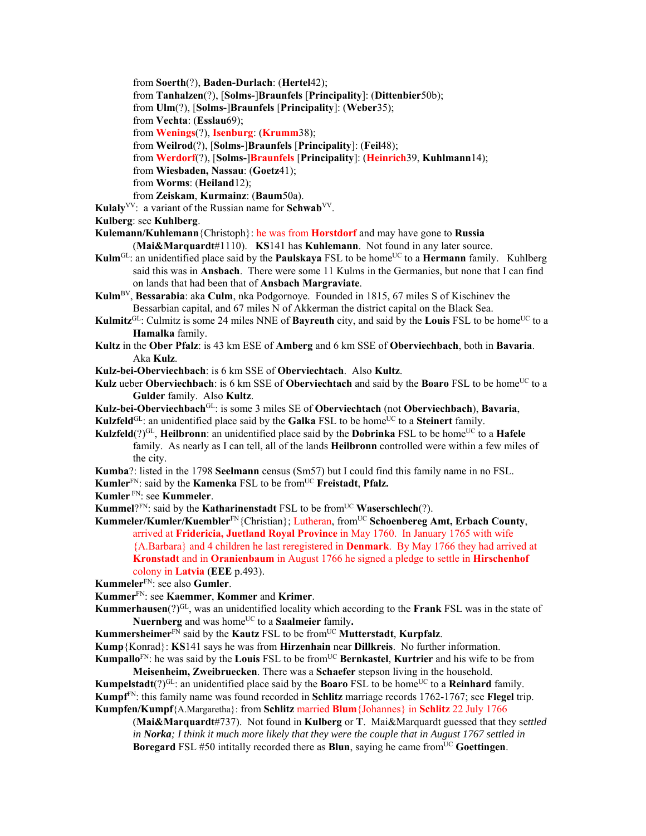from **Soerth**(?), **Baden-Durlach**: (**Hertel**42);

from **Tanhalzen**(?), [**Solms-**]**Braunfels** [**Principality**]: (**Dittenbier**50b);

from **Ulm**(?), [**Solms-**]**Braunfels** [**Principality**]: (**Weber**35);

from **Vechta**: (**Esslau**69);

from **Wenings**(?), **Isenburg**: (**Krumm**38);

from **Weilrod**(?), [**Solms-**]**Braunfels** [**Principality**]: (**Feil**48);

from **Werdorf**(?), [**Solms-**]**Braunfels** [**Principality**]: (**Heinrich**39, **Kuhlmann**14);

from **Wiesbaden, Nassau**: (**Goetz**41);

from **Worms**: (**Heiland**12);

from **Zeiskam**, **Kurmainz**: (**Baum**50a).

**Kulaly**VV: a variant of the Russian name for **Schwab**VV.

**Kulberg**: see **Kuhlberg**.

**Kulemann/Kuhlemann**{Christoph}: he was from **Horstdorf** and may have gone to **Russia** 

(**Mai&Marquardt**#1110). **KS**141 has **Kuhlemann**. Not found in any later source.

- **Kulm**<sup>GL</sup>: an unidentified place said by the **Paulskaya** FSL to be home<sup>UC</sup> to a **Hermann** family. Kuhlberg said this was in **Ansbach**. There were some 11 Kulms in the Germanies, but none that I can find on lands that had been that of **Ansbach Margraviate**.
- **Kulm**BV, **Bessarabia**: aka **Culm**, nka Podgornoye. Founded in 1815, 67 miles S of Kischinev the Bessarbian capital, and 67 miles N of Akkerman the district capital on the Black Sea.
- **Kulmitz**<sup>GL</sup>: Culmitz is some 24 miles NNE of **Bayreuth** city, and said by the **Louis** FSL to be home<sup>UC</sup> to a **Hamalka** family.
- **Kultz** in the **Ober Pfalz**: is 43 km ESE of **Amberg** and 6 km SSE of **Oberviechbach**, both in **Bavaria**. Aka **Kulz**.

**Kulz-bei-Oberviechbach**: is 6 km SSE of **Oberviechtach**.Also **Kultz**.

Kulz ueber Oberviechbach: is 6 km SSE of Oberviechtach and said by the Boaro FSL to be home<sup>UC</sup> to a **Gulder** family.Also **Kultz**.

**Kulz-bei-Oberviechbach**GL: is some 3 miles SE of **Oberviechtach** (not **Oberviechbach**), **Bavaria**,

**Kulzfeld**<sup>GL</sup>: an unidentified place said by the **Galka** FSL to be home<sup>UC</sup> to a **Steinert** family.

**Kulzfeld**(?)<sup>GL</sup>, **Heilbronn**: an unidentified place said by the **Dobrinka** FSL to be home<sup>UC</sup> to a **Hafele** family. As nearly as I can tell, all of the lands **Heilbronn** controlled were within a few miles of the city.

**Kumba**?: listed in the 1798 **Seelmann** census (Sm57) but I could find this family name in no FSL.

**Kumler**<sup>FN</sup>: said by the **Kamenka** FSL to be from<sup>UC</sup> **Freistadt**, **Pfalz.** 

**Kumler** FN: see **Kummeler**.

**Kummel**? $F_N$ : said by the **Katharinenstadt** FSL to be from<sup>UC</sup> **Waserschlech**(?).

Kummeler/Kumler/Kuembler<sup>FN</sup>{Christian}; Lutheran, from<sup>UC</sup> Schoenbereg Amt, Erbach County, arrived at **Fridericia, Juetland Royal Province** in May 1760. In January 1765 with wife {A.Barbara} and 4 children he last reregistered in **Denmark**. By May 1766 they had arrived at **Kronstadt** and in **Oranienbaum** in August 1766 he signed a pledge to settle in **Hirschenhof**  colony in **Latvia** (**EEE** p.493).

**Kummeler**FN: see also **Gumler**.

- **Kummer**FN: see **Kaemmer**, **Kommer** and **Krimer**.
- Kummerhausen(?)<sup>GL</sup>, was an unidentified locality which according to the Frank FSL was in the state of **Nuernberg** and was home<sup>UC</sup> to a **Saalmeier** family.

**Kummersheimer** $\overline{FN}$  said by the **Kautz** FSL to be from  $\overline{UC}$  **Mutterstadt**, **Kurpfalz**.

**Kump**{Konrad}: **KS**141 says he was from **Hirzenhain** near **Dillkreis**. No further information.

**Kumpallo**<sup>FN</sup>: he was said by the **Louis** FSL to be from<sup>UC</sup> **Bernkastel**, **Kurtrier** and his wife to be from **Meisenheim, Zweibruecken**. There was a **Schaefer** stepson living in the household.

**Kumpelstadt** $(?)^{GL}$ : an unidentified place said by the **Boaro** FSL to be home<sup>UC</sup> to a **Reinhard** family. **Kumpf**FN: this family name was found recorded in **Schlitz** marriage records 1762-1767; see **Flegel** trip. **Kumpfen/Kumpf**{A.Margaretha}: from **Schlitz** married **Blum**{Johannes} in **Schlitz** 22 July 1766

(**Mai&Marquardt**#737). Not found in **Kulberg** or **T**. Mai&Marquardt guessed that they se*ttled in Norka; I think it much more likely that they were the couple that in August 1767 settled in* **Boregard** FSL #50 intitally recorded there as **Blun**, saying he came from<sup>UC</sup> Goettingen.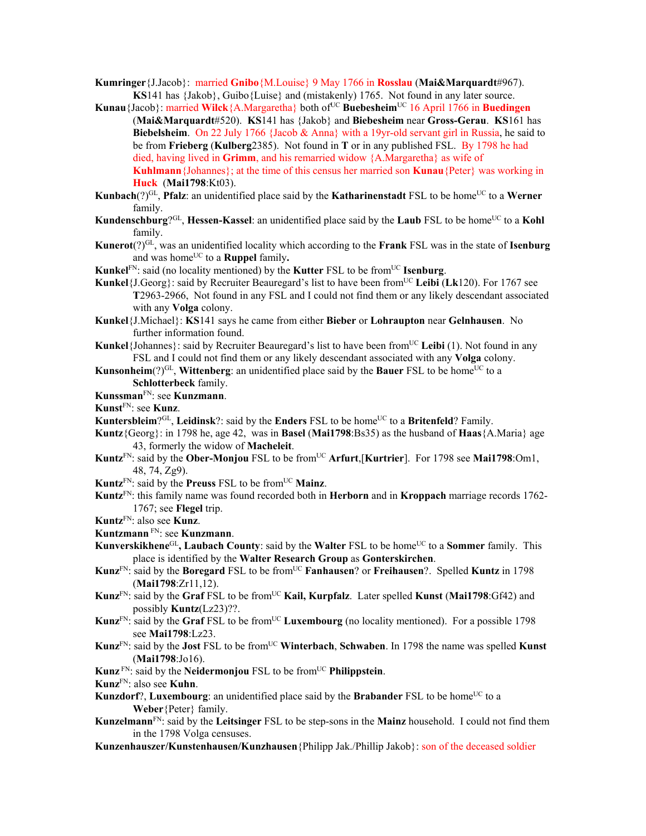- **Kumringer**{J.Jacob}: married **Gnibo**{M.Louise} 9 May 1766 in **Rosslau** (**Mai&Marquardt**#967). **KS**141 has {Jakob}, Guibo{Luise} and (mistakenly) 1765. Not found in any later source.
- **Kunau**{Jacob}: married **Wilck**{A.Margaretha} both of<sup>UC</sup> Buebesheim<sup>UC</sup> 16 April 1766 in Buedingen (**Mai&Marquardt**#520). **KS**141 has {Jakob} and **Biebesheim** near **Gross-Gerau**. **KS**161 has **Biebelsheim**. On 22 July 1766 {Jacob & Anna} with a 19yr-old servant girl in Russia, he said to be from **Frieberg** (**Kulberg**2385). Not found in **T** or in any published FSL. By 1798 he had died, having lived in **Grimm**, and his remarried widow {A.Margaretha} as wife of **Kuhlmann**{Johannes}; at the time of this census her married son **Kunau**{Peter} was working in **Huck** (**Mai1798**:Kt03).
- **Kunbach** $(?)^{GL}$ , **Pfalz**: an unidentified place said by the **Katharinenstadt** FSL to be home<sup>UC</sup> to a **Werner** family.
- **Kundenschburg**?<sup>GL</sup>, **Hessen-Kassel**: an unidentified place said by the **Laub** FSL to be home<sup>UC</sup> to a **Kohl** family.
- **Kunerot**(?)GL, was an unidentified locality which according to the **Frank** FSL was in the state of **Isenburg** and was home<sup>UC</sup> to a **Ruppel** family.
- **Kunkel**<sup>FN</sup>: said (no locality mentioned) by the **Kutter** FSL to be from<sup>UC</sup> **Isenburg**.
- **Kunkel**{ $J.Georg$ }: said by Recruiter Beauregard's list to have been from<sup>UC</sup> Leibi (Lk120). For 1767 see **T**2963-2966, Not found in any FSL and I could not find them or any likely descendant associated with any **Volga** colony.
- **Kunkel**{J.Michael}: **KS**141 says he came from either **Bieber** or **Lohraupton** near **Gelnhausen**. No further information found.
- **Kunkel**{Johannes}: said by Recruiter Beauregard's list to have been from<sup>UC</sup> Leibi (1). Not found in any FSL and I could not find them or any likely descendant associated with any **Volga** colony.
- **Kunsonheim**(?)<sup>GL</sup>, **Wittenberg**: an unidentified place said by the **Bauer** FSL to be home<sup>UC</sup> to a **Schlotterbeck** family.
- **Kunssman**FN: see **Kunzmann**.
- **Kunst**FN: see **Kunz**.
- **Kuntersbleim**?<sup>GL</sup>, **Leidinsk**?: said by the **Enders** FSL to be home<sup>UC</sup> to a **Britenfeld**? Family.
- **Kuntz**{Georg}: in 1798 he, age 42, was in **Basel** (**Mai1798**:Bs35) as the husband of **Haas**{A.Maria} age 43, formerly the widow of **Macheleit**.
- **Kuntz**<sup>FN</sup>: said by the **Ober-Monjou** FSL to be from<sup>UC</sup> Arfurt,[Kurtrier]. For 1798 see Mai1798:Om1, 48, 74, Zg9).
- **Kuntz**FN: said by the **Preuss** FSL to be fromUC **Mainz**.
- **Kuntz**FN: this family name was found recorded both in **Herborn** and in **Kroppach** marriage records 1762- 1767; see **Flegel** trip.
- **Kuntz**FN: also see **Kunz**.
- **Kuntzmann** FN: see **Kunzmann**.
- **Kunverskikhene**<sup>GL</sup>, Laubach County: said by the Walter FSL to be home<sup>UC</sup> to a Sommer family. This place is identified by the **Walter Research Group** as **Gonterskirchen**.
- **Kunz**FN: said by the **Boregard** FSL to be fromUC **Fanhausen**? or **Freihausen**?. Spelled **Kuntz** in 1798 (**Mai1798**:Zr11,12).
- **Kunz**FN: said by the **Graf** FSL to be fromUC **Kail, Kurpfalz**. Later spelled **Kunst** (**Mai1798**:Gf42) and possibly **Kuntz**(Lz23)??.
- **Kunz**<sup>FN</sup>: said by the **Graf** FSL to be from<sup>UC</sup> **Luxembourg** (no locality mentioned). For a possible 1798 see **Mai1798**:Lz23.
- **Kunz**FN: said by the **Jost** FSL to be fromUC **Winterbach**, **Schwaben**. In 1798 the name was spelled **Kunst** (**Mai1798**:Jo16).
- **Kunz**<sup>FN</sup>: said by the **Neidermonjou** FSL to be from<sup>UC</sup> **Philippstein**.
- **Kunz**FN: also see **Kuhn**.
- **Kunzdorf**?, **Luxembourg**: an unidentified place said by the **Brabander** FSL to be home<sup>UC</sup> to a **Weber**{Peter} family.
- **Kunzelmann**FN: said by the **Leitsinger** FSL to be step-sons in the **Mainz** household. I could not find them in the 1798 Volga censuses.
- **Kunzenhauszer/Kunstenhausen/Kunzhausen**{Philipp Jak./Phillip Jakob}: son of the deceased soldier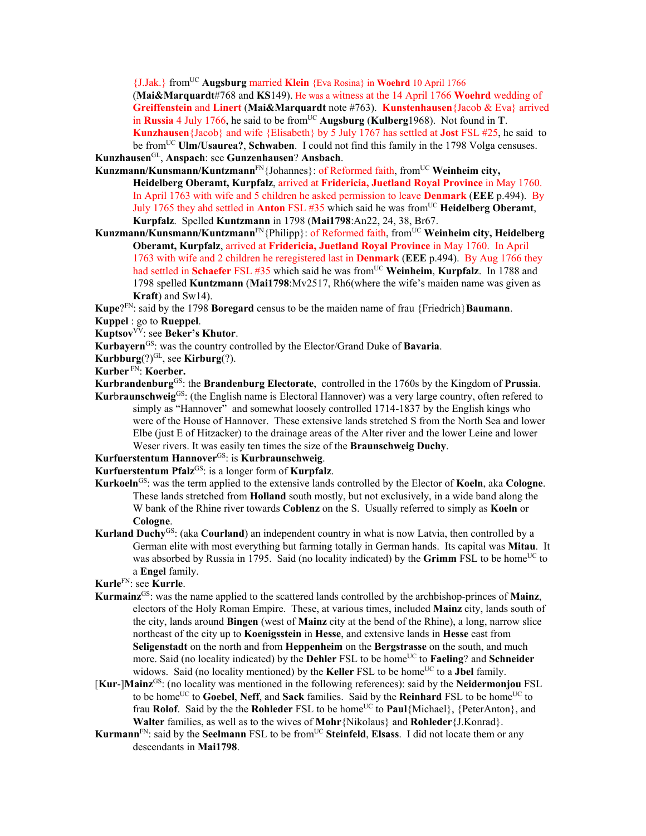{J.Jak.} fromUC **Augsburg** married **Klein** {Eva Rosina} in **Woehrd** 10 April 1766 (**Mai&Marquardt**#768 and **KS**149). He was a witness at the 14 April 1766 **Woehrd** wedding of **Greiffenstein** and **Linert** (**Mai&Marquardt** note #763). **Kunstenhausen**{Jacob & Eva} arrived in **Russia** 4 July 1766, he said to be from <sup>UC</sup> **Augsburg** (**Kulberg**1968). Not found in **T**. **Kunzhausen**{Jacob} and wife {Elisabeth} by 5 July 1767 has settled at **Jost** FSL #25, he said to be fromUC **Ulm/Usaurea?**, **Schwaben**. I could not find this family in the 1798 Volga censuses.

**Kunzhausen**GL, **Anspach**: see **Gunzenhausen**? **Ansbach**.

- Kunzmann/Kunsmann/Kuntzmann<sup>FN</sup>{Johannes}: of Reformed faith, from<sup>UC</sup> Weinheim city, **Heidelberg Oberamt, Kurpfalz**, arrived at **Fridericia, Juetland Royal Province** in May 1760. In April 1763 with wife and 5 children he asked permission to leave **Denmark** (**EEE** p.494). By July 1765 they ahd settled in **Anton** FSL #35 which said he was fromUC **Heidelberg Oberamt**, **Kurpfalz**. Spelled **Kuntzmann** in 1798 (**Mai1798**:An22, 24, 38, Br67.
- Kunzmann/Kunsmann/Kuntzmann<sup>FN</sup>{Philipp}: of Reformed faith, from<sup>UC</sup> Weinheim city, Heidelberg **Oberamt, Kurpfalz**, arrived at **Fridericia, Juetland Royal Province** in May 1760. In April 1763 with wife and 2 children he reregistered last in **Denmark** (**EEE** p.494). By Aug 1766 they had settled in **Schaefer** FSL #35 which said he was from<sup>UC</sup> Weinheim, Kurpfalz. In 1788 and 1798 spelled **Kuntzmann** (**Mai1798**:Mv2517, Rh6(where the wife's maiden name was given as **Kraft**) and Sw14).

**Kupe**?FN: said by the 1798 **Boregard** census to be the maiden name of frau {Friedrich}**Baumann**. **Kuppel** : go to **Rueppel**.

Kuptsov<sup>VV</sup>: see Beker's Khutor.

**Kurbayern**GS: was the country controlled by the Elector/Grand Duke of **Bavaria**.

**Kurbburg** $(?)^{GL}$ , see **Kirburg** $(?)$ .

**Kurber** FN: **Koerber.**

- **Kurbrandenburg**GS: the **Brandenburg Electorate**, controlled in the 1760s by the Kingdom of **Prussia**. **Kurbraunschweig**GS: (the English name is Electoral Hannover) was a very large country, often refered to simply as "Hannover" and somewhat loosely controlled 1714-1837 by the English kings who
	- were of the House of Hannover. These extensive lands stretched S from the North Sea and lower Elbe (just E of Hitzacker) to the drainage areas of the Alter river and the lower Leine and lower Weser rivers. It was easily ten times the size of the **Braunschweig Duchy**.
- **Kurfuerstentum Hannover**GS: is **Kurbraunschweig**.

Kurfuerstentum Pfalz<sup>GS</sup>: is a longer form of **Kurpfalz**.

- **Kurkoeln**GS: was the term applied to the extensive lands controlled by the Elector of **Koeln**, aka **Cologne**. These lands stretched from **Holland** south mostly, but not exclusively, in a wide band along the W bank of the Rhine river towards **Coblenz** on the S. Usually referred to simply as **Koeln** or **Cologne**.
- **Kurland Duchy**GS: (aka **Courland**) an independent country in what is now Latvia, then controlled by a German elite with most everything but farming totally in German hands. Its capital was **Mitau**. It was absorbed by Russia in 1795. Said (no locality indicated) by the **Grimm** FSL to be home<sup>UC</sup> to a **Engel** family.

**Kurle**FN: see **Kurrle**.

- **Kurmainz**GS: was the name applied to the scattered lands controlled by the archbishop-princes of **Mainz**, electors of the Holy Roman Empire. These, at various times, included **Mainz** city, lands south of the city, lands around **Bingen** (west of **Mainz** city at the bend of the Rhine), a long, narrow slice northeast of the city up to **Koenigsstein** in **Hesse**, and extensive lands in **Hesse** east from **Seligenstadt** on the north and from **Heppenheim** on the **Bergstrasse** on the south, and much more. Said (no locality indicated) by the **Dehler** FSL to be home<sup>UC</sup> to **Faeling**? and **Schneider** widows. Said (no locality mentioned) by the **Keller** FSL to be home<sup>UC</sup> to a **Jbel** family.
- [**Kur**-]**Mainz**GS: (no locality was mentioned in the following references): said by the **Neidermonjou** FSL to be home<sup>UC</sup> to Goebel, Neff, and Sack families. Said by the Reinhard FSL to be home<sup>UC</sup> to frau **Rolof**. Said by the the **Rohleder** FSL to be home<sup>UC</sup> to **Paul**{Michael}, {PeterAnton}, and **Walter** families, as well as to the wives of **Mohr**{Nikolaus} and **Rohleder**{J.Konrad}.
- **Kurmann**<sup>FN</sup>: said by the **Seelmann** FSL to be from<sup>UC</sup> **Steinfeld**, **Elsass**. I did not locate them or any descendants in **Mai1798**.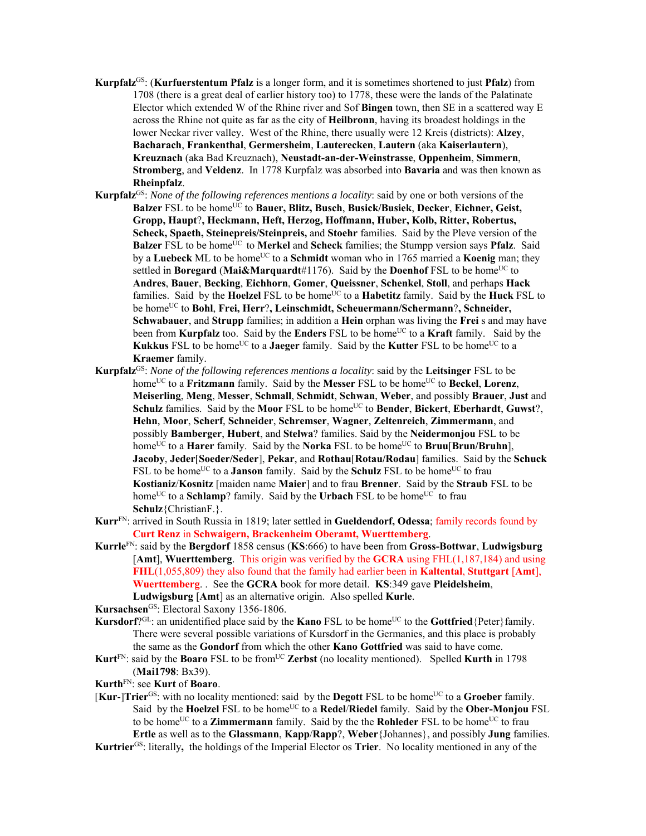- **Kurpfalz**GS: (**Kurfuerstentum Pfalz** is a longer form, and it is sometimes shortened to just **Pfalz**) from 1708 (there is a great deal of earlier history too) to 1778, these were the lands of the Palatinate Elector which extended W of the Rhine river and Sof **Bingen** town, then SE in a scattered way E across the Rhine not quite as far as the city of **Heilbronn**, having its broadest holdings in the lower Neckar river valley. West of the Rhine, there usually were 12 Kreis (districts): **Alzey**, **Bacharach**, **Frankenthal**, **Germersheim**, **Lauterecken**, **Lautern** (aka **Kaiserlautern**), **Kreuznach** (aka Bad Kreuznach), **Neustadt-an-der-Weinstrasse**, **Oppenheim**, **Simmern**, **Stromberg**, and **Veldenz**. In 1778 Kurpfalz was absorbed into **Bavaria** and was then known as **Rheinpfalz**.
- **Kurpfalz**GS: *None of the following references mentions a locality*: said by one or both versions of the Balzer FSL to be home<sup>UC</sup> to Bauer, Blitz, Busch, Busick/Busiek, Decker, Eichner, Geist, **Gropp, Haupt**?**, Heckmann, Heft, Herzog, Hoffmann, Huber, Kolb, Ritter, Robertus, Scheck, Spaeth, Steinepreis/Steinpreis,** and **Stoehr** families. Said by the Pleve version of the **Balzer** FSL to be home<sup>UC</sup> to **Merkel** and **Scheck** families; the Stumpp version says **Pfalz**. Said by a **Luebeck** ML to be home<sup>UC</sup> to a **Schmidt** woman who in 1765 married a **Koenig** man; they settled in **Boregard** (Mai&Marquardt#1176). Said by the **Doenhof** FSL to be home<sup>UC</sup> to **Andres**, **Bauer**, **Becking**, **Eichhorn**, **Gomer**, **Queissner**, **Schenkel**, **Stoll**, and perhaps **Hack** families. Said by the **Hoelzel** FSL to be home<sup>UC</sup> to a **Habetitz** family. Said by the **Huck** FSL to be homeUC to **Bohl**, **Frei, Herr**?**, Leinschmidt, Scheuermann/Schermann**?**, Schneider, Schwabauer**, and **Strupp** families; in addition a **Hein** orphan was living the **Frei** s and may have been from **Kurpfalz** too. Said by the **Enders** FSL to be home<sup>UC</sup> to a **Kraft** family. Said by the **Kukkus** FSL to be home<sup>UC</sup> to a **Jaeger** family. Said by the **Kutter** FSL to be home<sup>UC</sup> to a **Kraemer** family.
- **Kurpfalz**GS: *None of the following references mentions a locality*: said by the **Leitsinger** FSL to be home<sup>UC</sup> to a **Fritzmann** family. Said by the **Messer** FSL to be home<sup>UC</sup> to **Beckel**, **Lorenz**, **Meiserling**, **Meng**, **Messer**, **Schmall**, **Schmidt**, **Schwan**, **Weber**, and possibly **Brauer**, **Just** and **Schulz** families. Said by the **Moor** FSL to be home<sup>UC</sup> to **Bender**, **Bickert**, **Eberhardt**, **Guwst**?, **Hehn**, **Moor**, **Scherf**, **Schneider**, **Schremser**, **Wagner**, **Zeltenreich**, **Zimmermann**, and possibly **Bamberger**, **Hubert**, and **Stelwa**? families. Said by the **Neidermonjou** FSL to be home<sup>UC</sup> to a **Harer** family. Said by the **Norka** FSL to be home<sup>UC</sup> to **Bruu**[**Brun/Bruhn**], **Jacoby**, **Jeder**[**Soeder/Seder**], **Pekar**, and **Rothau**[**Rotau/Rodau**] families. Said by the **Schuck**  FSL to be home<sup>UC</sup> to a **Janson** family. Said by the **Schulz** FSL to be home<sup>UC</sup> to frau **Kostianiz**/**Kosnitz** [maiden name **Maier**] and to frau **Brenner**. Said by the **Straub** FSL to be home<sup>UC</sup> to a **Schlamp**? family. Said by the **Urbach** FSL to be home<sup>UC</sup> to frau **Schulz**{ChristianF.}.
- **Kurr**FN: arrived in South Russia in 1819; later settled in **Gueldendorf, Odessa**; family records found by **Curt Renz** in **Schwaigern, Brackenheim Oberamt, Wuerttemberg**.
- **Kurrle**FN: said by the **Bergdorf** 1858 census (**KS**:666) to have been from **Gross-Bottwar**, **Ludwigsburg**  [**Amt**], **Wuerttemberg**. This origin was verified by the **GCRA** using FHL(1,187,184) and using **FHL**(1,055,809) they also found that the family had earlier been in **Kaltental**, **Stuttgart** [**Amt**], **Wuerttemberg**. . See the **GCRA** book for more detail. **KS**:349 gave **Pleidelsheim**, **Ludwigsburg** [**Amt**] as an alternative origin. Also spelled **Kurle**.

Kursachsen<sup>GS</sup>: Electoral Saxony 1356-1806.

- **Kursdorf**?<sup>GL</sup>: an unidentified place said by the **Kano** FSL to be home<sup>UC</sup> to the **Gottfried**{Peter}family. There were several possible variations of Kursdorf in the Germanies, and this place is probably the same as the **Gondorf** from which the other **Kano Gottfried** was said to have come.
- **Kurt**<sup>FN</sup>: said by the **Boaro** FSL to be from<sup>UC</sup> Zerbst (no locality mentioned). Spelled **Kurth** in 1798 (**Mai1798**: Bx39).

**Kurth**FN: see **Kurt** of **Boaro**.

- [**Kur-**]**Trier**<sup>GS</sup>: with no locality mentioned: said by the **Degott** FSL to be home<sup>UC</sup> to a **Groeber** family. Said by the **Hoelzel** FSL to be home<sup>UC</sup> to a **Redel/Riedel** family. Said by the **Ober-Monjou** FSL to be home<sup>UC</sup> to a **Zimmermann** family. Said by the the **Rohleder** FSL to be home<sup>UC</sup> to frau **Ertle** as well as to the **Glassmann**, **Kapp**/**Rapp**?, **Weber**{Johannes}, and possibly **Jung** families.
- **Kurtrier**GS: literally**,** the holdings of the Imperial Elector os **Trier**. No locality mentioned in any of the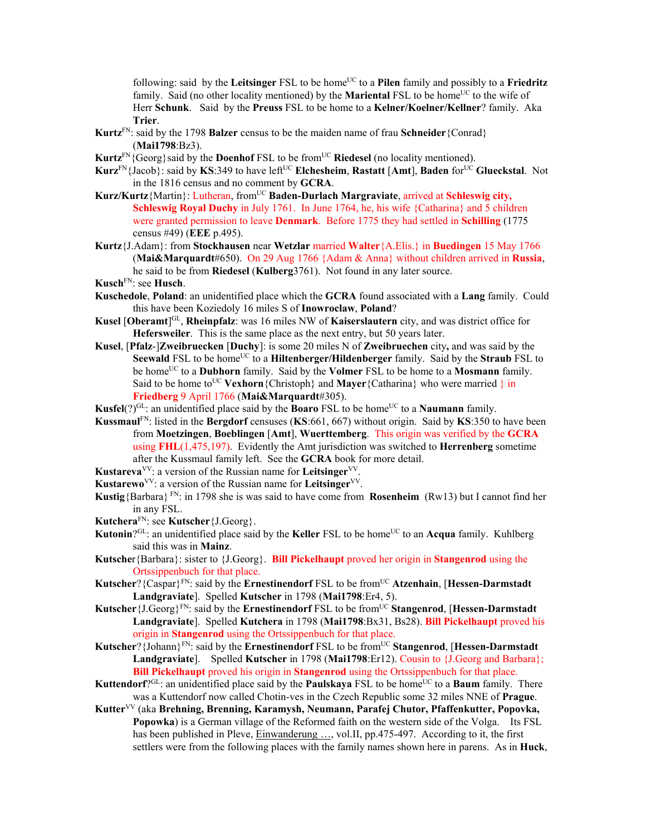following: said by the Leitsinger FSL to be home<sup>UC</sup> to a Pilen family and possibly to a Friedritz family. Said (no other locality mentioned) by the **Mariental** FSL to be home<sup>UC</sup> to the wife of Herr **Schunk**. Said by the **Preuss** FSL to be home to a **Kelner/Koelner/Kellner**? family. Aka **Trier**.

- **Kurtz**FN: said by the 1798 **Balzer** census to be the maiden name of frau **Schneider**{Conrad} (**Mai1798**:Bz3).
- **Kurtz**<sup>FN</sup>{Georg}said by the **Doenhof** FSL to be from<sup>UC</sup> **Riedesel** (no locality mentioned).
- **Kurz**FN{Jacob}: said by **KS**:349 to have leftUC **Elchesheim**, **Rastatt** [**Amt**], **Baden** forUC **Glueckstal**. Not in the 1816 census and no comment by **GCRA**.
- Kurz/Kurtz{Martin}: Lutheran, from<sup>UC</sup> Baden-Durlach Margraviate, arrived at Schleswig city, **Schleswig Royal Duchy** in July 1761. In June 1764, he, his wife {Catharina} and 5 children were granted permission to leave **Denmark**. Before 1775 they had settled in **Schilling** (1775 census #49) (**EEE** p.495).
- **Kurtz**{J.Adam}: from **Stockhausen** near **Wetzlar** married **Walter**{A.Elis.} in **Buedingen** 15 May 1766 (**Mai&Marquardt**#650). On 29 Aug 1766 {Adam & Anna} without children arrived in **Russia**, he said to be from **Riedesel** (**Kulberg**3761). Not found in any later source.

**Kusch**FN: see **Husch**.

- **Kuschedole**, **Poland**: an unidentified place which the **GCRA** found associated with a **Lang** family. Could this have been Koziedoly 16 miles S of **Inowroclaw**, **Poland**?
- **Kusel** [Oberamt]<sup>GL</sup>, **Rheinpfalz**: was 16 miles NW of **Kaiserslautern** city, and was district office for **Hefersweiler**. This is the same place as the next entry, but 50 years later.
- **Kusel**, [**Pfalz**-]**Zweibruecken** [**Duchy**]: is some 20 miles N of **Zweibruechen** city**,** and was said by the **Seewald** FSL to be home<sup>UC</sup> to a **Hiltenberger/Hildenberger** family. Said by the **Straub** FSL to be homeUC to a **Dubhorn** family. Said by the **Volmer** FSL to be home to a **Mosmann** family. Said to be home to<sup>UC</sup> Vexhorn {Christoph} and **Mayer** {Catharina} who were married } in **Friedberg** 9 April 1766 (**Mai&Marquardt**#305).
- **Kusfel**(?)<sup>GL</sup>: an unidentified place said by the **Boaro** FSL to be home<sup>UC</sup> to a **Naumann** family.
- **Kussmaul**FN: listed in the **Bergdorf** censuses (**KS**:661, 667) without origin. Said by **KS**:350 to have been from **Moetzingen**, **Boeblingen** [**Amt**], **Wuerttemberg**. This origin was verified by the **GCRA** using **FHL**(1,475,197). Evidently the Amt jurisdiction was switched to **Herrenberg** sometime after the Kussmaul family left. See the **GCRA** book for more detail.
- **Kustareva**<sup>VV</sup>: a version of the Russian name for **Leitsinger**<sup>VV</sup>.
- **Kustarewo**VV: a version of the Russian name for **Leitsinger**VV.
- **Kustig**{Barbara} FN: in 1798 she is was said to have come from **Rosenheim** (Rw13) but I cannot find her in any FSL.
- **Kutchera**FN: see **Kutscher**{J.Georg}.
- **Kutonin**?<sup>GL</sup>: an unidentified place said by the **Keller** FSL to be home<sup>UC</sup> to an **Acqua** family. Kuhlberg said this was in **Mainz**.
- **Kutsche**r{Barbara}: sister to {J.Georg}. **Bill Pickelhaupt** proved her origin in **Stangenrod** using the Ortssippenbuch for that place.
- **Kutscher**?{Caspar}FN: said by the **Ernestinendorf** FSL to be fromUC **Atzenhain**, [**Hessen-Darmstadt Landgraviate**]. Spelled **Kutscher** in 1798 (**Mai1798**:Er4, 5).
- **Kutscher** {J.Georg}<sup>FN</sup>: said by the **Ernestinendorf** FSL to be from<sup>UC</sup> **Stangenrod**, [**Hessen-Darmstadt Landgraviate**]. Spelled **Kutchera** in 1798 (**Mai1798**:Bx31, Bs28). **Bill Pickelhaupt** proved his origin in **Stangenrod** using the Ortssippenbuch for that place.
- **Kutscher**? {Johann}<sup>FN</sup>: said by the **Ernestinendorf** FSL to be from<sup>UC</sup> Stangenrod, [Hessen-Darmstadt] **Landgraviate**]. Spelled **Kutscher** in 1798 (**Mai1798**:Er12). Cousin to {J.Georg and Barbara}; **Bill Pickelhaupt** proved his origin in **Stangenrod** using the Ortssippenbuch for that place.
- **Kuttendorf**?<sup>GL</sup>: an unidentified place said by the **Paulskaya** FSL to be home<sup>UC</sup> to a **Baum** family. There was a Kuttendorf now called Chotin-ves in the Czech Republic some 32 miles NNE of **Prague**.
- **Kutter**VV (aka **Brehning, Brenning, Karamysh, Neumann, Parafej Chutor, Pfaffenkutter, Popovka, Popowka**) is a German village of the Reformed faith on the western side of the Volga. Its FSL has been published in Pleve, Einwanderung ..., vol.II, pp.475-497. According to it, the first settlers were from the following places with the family names shown here in parens. As in **Huck**,